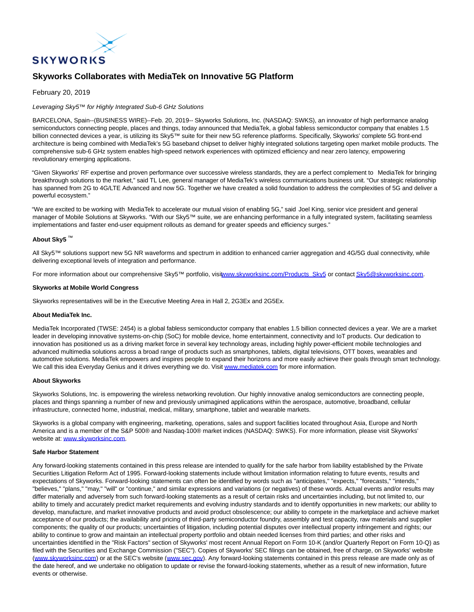

# **Skyworks Collaborates with MediaTek on Innovative 5G Platform**

# February 20, 2019

# Leveraging Sky5™ for Highly Integrated Sub-6 GHz Solutions

BARCELONA, Spain--(BUSINESS WIRE)--Feb. 20, 2019-- Skyworks Solutions, Inc. (NASDAQ: SWKS), an innovator of high performance analog semiconductors connecting people, places and things, today announced that MediaTek, a global fabless semiconductor company that enables 1.5 billion connected devices a year, is utilizing its Sky5™ suite for their new 5G reference platforms. Specifically, Skyworks' complete 5G front-end architecture is being combined with MediaTek's 5G baseband chipset to deliver highly integrated solutions targeting open market mobile products. The comprehensive sub-6 GHz system enables high-speed network experiences with optimized efficiency and near zero latency, empowering revolutionary emerging applications.

"Given Skyworks' RF expertise and proven performance over successive wireless standards, they are a perfect complement to MediaTek for bringing breakthrough solutions to the market," said TL Lee, general manager of MediaTek's wireless communications business unit. "Our strategic relationship has spanned from 2G to 4G/LTE Advanced and now 5G. Together we have created a solid foundation to address the complexities of 5G and deliver a powerful ecosystem."

"We are excited to be working with MediaTek to accelerate our mutual vision of enabling 5G," said Joel King, senior vice president and general manager of Mobile Solutions at Skyworks. "With our Sky5™ suite, we are enhancing performance in a fully integrated system, facilitating seamless implementations and faster end-user equipment rollouts as demand for greater speeds and efficiency surges."

#### **About Sky5** ™

All Sky5™ solutions support new 5G NR waveforms and spectrum in addition to enhanced carrier aggregation and 4G/5G dual connectivity, while delivering exceptional levels of integration and performance.

For more information about our comprehensive Sky5™ portfolio, vis[it www.skyworksinc.com/Products\\_Sky5 o](https://cts.businesswire.com/ct/CT?id=smartlink&url=http%3A%2F%2Fwww.skyworksinc.com%2FProducts_Sky5.aspx&esheet=51943120&newsitemid=20190219006099&lan=en-US&anchor=www.skyworksinc.com%2FProducts_Sky5&index=1&md5=5c7fdfc1b61bea77ab7959d2446d5192)r contac[t Sky5@skyworksinc.com.](mailto:Sky5@skyworksinc.com)

#### **Skyworks at Mobile World Congress**

Skyworks representatives will be in the Executive Meeting Area in Hall 2, 2G3Ex and 2G5Ex.

### **About MediaTek Inc.**

MediaTek Incorporated (TWSE: 2454) is a global fabless semiconductor company that enables 1.5 billion connected devices a year. We are a market leader in developing innovative systems-on-chip (SoC) for mobile device, home entertainment, connectivity and IoT products. Our dedication to innovation has positioned us as a driving market force in several key technology areas, including highly power-efficient mobile technologies and advanced multimedia solutions across a broad range of products such as smartphones, tablets, digital televisions, OTT boxes, wearables and automotive solutions. MediaTek empowers and inspires people to expand their horizons and more easily achieve their goals through smart technology. We call this idea Everyday Genius and it drives everything we do. Visi[t www.mediatek.com f](https://cts.businesswire.com/ct/CT?id=smartlink&url=http%3A%2F%2Fwww.mediatek.com&esheet=51943120&newsitemid=20190219006099&lan=en-US&anchor=www.mediatek.com&index=2&md5=b2cfe93a4a344fe13db54abd2fee6e0a)or more information.

#### **About Skyworks**

Skyworks Solutions, Inc. is empowering the wireless networking revolution. Our highly innovative analog semiconductors are connecting people, places and things spanning a number of new and previously unimagined applications within the aerospace, automotive, broadband, cellular infrastructure, connected home, industrial, medical, military, smartphone, tablet and wearable markets.

Skyworks is a global company with engineering, marketing, operations, sales and support facilities located throughout Asia, Europe and North America and is a member of the S&P 500® and Nasdaq-100® market indices (NASDAQ: SWKS). For more information, please visit Skyworks' website at[: www.skyworksinc.com.](https://cts.businesswire.com/ct/CT?id=smartlink&url=http%3A%2F%2Fwww.skyworksinc.com&esheet=51943120&newsitemid=20190219006099&lan=en-US&anchor=www.skyworksinc.com&index=3&md5=8224126c796b9a00942d522296693f0d)

#### **Safe Harbor Statement**

Any forward-looking statements contained in this press release are intended to qualify for the safe harbor from liability established by the Private Securities Litigation Reform Act of 1995. Forward-looking statements include without limitation information relating to future events, results and expectations of Skyworks. Forward-looking statements can often be identified by words such as "anticipates," "expects," "forecasts," "intends," "believes," "plans," "may," "will" or "continue," and similar expressions and variations (or negatives) of these words. Actual events and/or results may differ materially and adversely from such forward-looking statements as a result of certain risks and uncertainties including, but not limited to, our ability to timely and accurately predict market requirements and evolving industry standards and to identify opportunities in new markets; our ability to develop, manufacture, and market innovative products and avoid product obsolescence; our ability to compete in the marketplace and achieve market acceptance of our products; the availability and pricing of third-party semiconductor foundry, assembly and test capacity, raw materials and supplier components; the quality of our products; uncertainties of litigation, including potential disputes over intellectual property infringement and rights; our ability to continue to grow and maintain an intellectual property portfolio and obtain needed licenses from third parties; and other risks and uncertainties identified in the "Risk Factors" section of Skyworks' most recent Annual Report on Form 10-K (and/or Quarterly Report on Form 10-Q) as filed with the Securities and Exchange Commission ("SEC"). Copies of Skyworks' SEC filings can be obtained, free of charge, on Skyworks' website [\(www.skyworksinc.com\)](https://cts.businesswire.com/ct/CT?id=smartlink&url=http%3A%2F%2Fwww.skyworksinc.com&esheet=51943120&newsitemid=20190219006099&lan=en-US&anchor=www.skyworksinc.com&index=4&md5=61501706b56973e1a6812c16a9d85467) or at the SEC's website [\(www.sec.gov\).](https://cts.businesswire.com/ct/CT?id=smartlink&url=http%3A%2F%2Fwww.sec.gov&esheet=51943120&newsitemid=20190219006099&lan=en-US&anchor=www.sec.gov&index=5&md5=085145ed7ebd58dbedac96ef2215f56a) Any forward-looking statements contained in this press release are made only as of the date hereof, and we undertake no obligation to update or revise the forward-looking statements, whether as a result of new information, future events or otherwise.